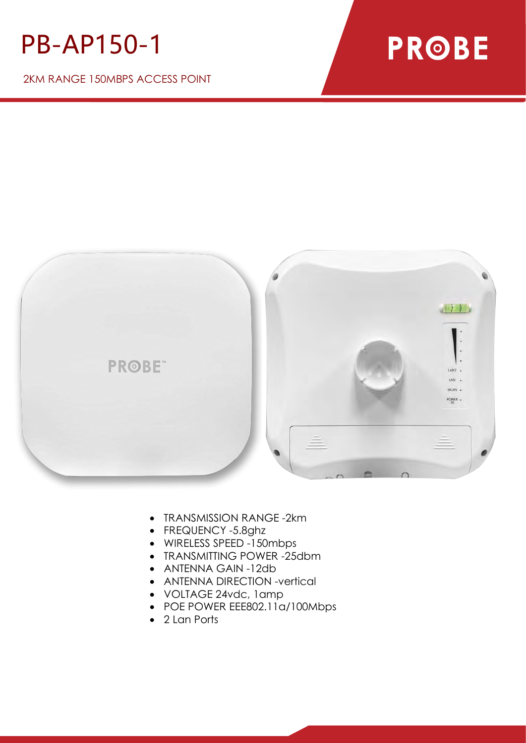## PB-AP150-1

2KM RANGE 150MBPS ACCESS POINT

## **PROBE**



- TRANSMISSION RANGE -2km
- FREQUENCY -5.8ghz
- WIRELESS SPEED -150mbps
- TRANSMITTING POWER -25dbm
- ANTENNA GAIN -12db
- ANTENNA DIRECTION -vertical
- VOLTAGE 24vdc, 1amp
- POE POWER EEE802.11a/100Mbps
- 2 Lan Ports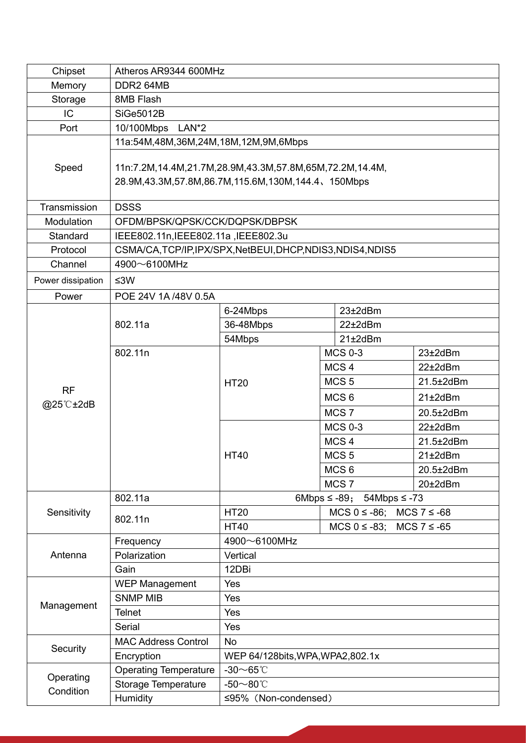| Chipset                | Atheros AR9344 600MHz                                           |                                                  |                  |                |                                      |  |
|------------------------|-----------------------------------------------------------------|--------------------------------------------------|------------------|----------------|--------------------------------------|--|
| Memory                 | DDR2 64MB                                                       |                                                  |                  |                |                                      |  |
| Storage                | 8MB Flash                                                       |                                                  |                  |                |                                      |  |
| IC                     | <b>SiGe5012B</b>                                                |                                                  |                  |                |                                      |  |
| Port                   | 10/100Mbps                                                      | LAN*2                                            |                  |                |                                      |  |
| Speed                  | 11a:54M,48M,36M,24M,18M,12M,9M,6Mbps                            |                                                  |                  |                |                                      |  |
|                        |                                                                 |                                                  |                  |                |                                      |  |
|                        | 11n:7.2M, 14.4M, 21.7M, 28.9M, 43.3M, 57.8M, 65M, 72.2M, 14.4M, |                                                  |                  |                |                                      |  |
|                        | 28.9M, 43.3M, 57.8M, 86.7M, 115.6M, 130M, 144.4, 150Mbps        |                                                  |                  |                |                                      |  |
| Transmission           | <b>DSSS</b>                                                     |                                                  |                  |                |                                      |  |
| Modulation             | OFDM/BPSK/QPSK/CCK/DQPSK/DBPSK                                  |                                                  |                  |                |                                      |  |
| Standard               | IEEE802.11n, IEEE802.11a, IEEE802.3u                            |                                                  |                  |                |                                      |  |
| Protocol               | CSMA/CA,TCP/IP,IPX/SPX,NetBEUI,DHCP,NDIS3,NDIS4,NDIS5           |                                                  |                  |                |                                      |  |
| Channel                | 4900~6100MHz                                                    |                                                  |                  |                |                                      |  |
| Power dissipation      | ≤3W                                                             |                                                  |                  |                |                                      |  |
| Power                  | POE 24V 1A/48V 0.5A                                             |                                                  |                  |                |                                      |  |
| <b>RF</b><br>@25°C±2dB |                                                                 | 23±2dBm<br>6-24Mbps                              |                  |                |                                      |  |
|                        | 802.11a                                                         | 36-48Mbps<br>22±2dBm                             |                  |                |                                      |  |
|                        |                                                                 | 54Mbps<br>$21\pm2$ dBm                           |                  |                |                                      |  |
|                        | 802.11n                                                         |                                                  |                  | <b>MCS 0-3</b> | 23±2dBm                              |  |
|                        |                                                                 | <b>HT20</b>                                      | MCS <sub>4</sub> |                | 22±2dBm                              |  |
|                        |                                                                 |                                                  | MCS <sub>5</sub> |                | 21.5±2dBm                            |  |
|                        |                                                                 |                                                  | MCS <sub>6</sub> |                | $21\pm2$ dBm                         |  |
|                        |                                                                 |                                                  | MCS <sub>7</sub> |                | 20.5±2dBm                            |  |
|                        |                                                                 |                                                  | <b>MCS 0-3</b>   |                | 22±2dBm                              |  |
|                        |                                                                 |                                                  | MCS <sub>4</sub> |                | 21.5±2dBm                            |  |
|                        |                                                                 | <b>HT40</b>                                      | MCS <sub>5</sub> |                | $21\pm2$ dBm                         |  |
|                        |                                                                 |                                                  | MCS <sub>6</sub> |                | 20.5±2dBm                            |  |
|                        |                                                                 |                                                  | MCS <sub>7</sub> |                | 20±2dBm                              |  |
| Sensitivity            | 802.11a                                                         | 6Mbps $\leq$ -89; 54Mbps $\leq$ -73              |                  |                |                                      |  |
|                        | 802.11n                                                         | <b>HT20</b><br>$MCS 0 \le -86$ ; $MCS 7 \le -68$ |                  |                |                                      |  |
|                        |                                                                 | <b>HT40</b>                                      |                  |                | $MCS$ 0 $\leq$ -83; MCS 7 $\leq$ -65 |  |
| Antenna<br>Management  | Frequency                                                       | 4900~6100MHz                                     |                  |                |                                      |  |
|                        | Polarization                                                    | Vertical<br>12DBi                                |                  |                |                                      |  |
|                        | Gain                                                            | Yes                                              |                  |                |                                      |  |
|                        | <b>WEP Management</b><br><b>SNMP MIB</b>                        | Yes                                              |                  |                |                                      |  |
|                        | <b>Telnet</b>                                                   | Yes                                              |                  |                |                                      |  |
|                        | Serial                                                          | Yes                                              |                  |                |                                      |  |
| Security               | <b>MAC Address Control</b>                                      | <b>No</b>                                        |                  |                |                                      |  |
|                        | Encryption                                                      | WEP 64/128bits, WPA, WPA2, 802.1x                |                  |                |                                      |  |
| Operating<br>Condition | <b>Operating Temperature</b>                                    | $-30$ ~65℃                                       |                  |                |                                      |  |
|                        | Storage Temperature                                             | -50 $\sim$ 80°C                                  |                  |                |                                      |  |
|                        | Humidity                                                        | ≤95% (Non-condensed)                             |                  |                |                                      |  |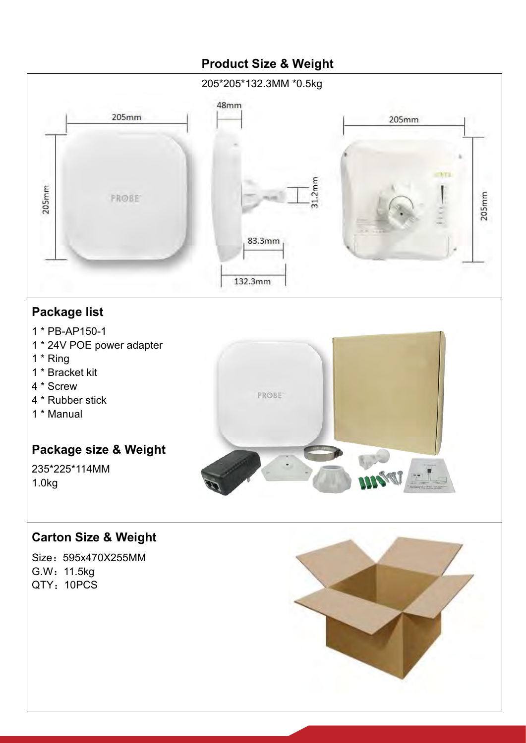

Size:595x470X255MM G.W:11.5kg QTY: 10PCS